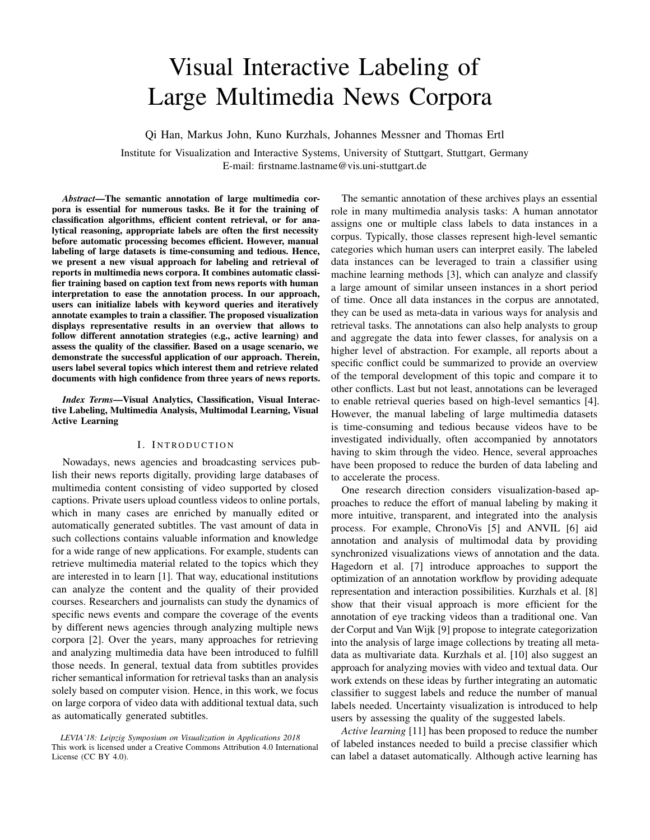# Visual Interactive Labeling of Large Multimedia News Corpora

Qi Han, Markus John, Kuno Kurzhals, Johannes Messner and Thomas Ertl

Institute for Visualization and Interactive Systems, University of Stuttgart, Stuttgart, Germany E-mail: firstname.lastname@vis.uni-stuttgart.de

*Abstract*—The semantic annotation of large multimedia corpora is essential for numerous tasks. Be it for the training of classification algorithms, efficient content retrieval, or for analytical reasoning, appropriate labels are often the first necessity before automatic processing becomes efficient. However, manual labeling of large datasets is time-consuming and tedious. Hence, we present a new visual approach for labeling and retrieval of reports in multimedia news corpora. It combines automatic classifier training based on caption text from news reports with human interpretation to ease the annotation process. In our approach, users can initialize labels with keyword queries and iteratively annotate examples to train a classifier. The proposed visualization displays representative results in an overview that allows to follow different annotation strategies (e.g., active learning) and assess the quality of the classifier. Based on a usage scenario, we demonstrate the successful application of our approach. Therein, users label several topics which interest them and retrieve related documents with high confidence from three years of news reports.

*Index Terms*—Visual Analytics, Classification, Visual Interactive Labeling, Multimedia Analysis, Multimodal Learning, Visual Active Learning

#### I. INTRODUCTION

Nowadays, news agencies and broadcasting services publish their news reports digitally, providing large databases of multimedia content consisting of video supported by closed captions. Private users upload countless videos to online portals, which in many cases are enriched by manually edited or automatically generated subtitles. The vast amount of data in such collections contains valuable information and knowledge for a wide range of new applications. For example, students can retrieve multimedia material related to the topics which they are interested in to learn [1]. That way, educational institutions can analyze the content and the quality of their provided courses. Researchers and journalists can study the dynamics of specific news events and compare the coverage of the events by different news agencies through analyzing multiple news corpora [2]. Over the years, many approaches for retrieving and analyzing multimedia data have been introduced to fulfill those needs. In general, textual data from subtitles provides richer semantical information for retrieval tasks than an analysis solely based on computer vision. Hence, in this work, we focus on large corpora of video data with additional textual data, such as automatically generated subtitles.

*LEVIA'18: Leipzig Symposium on Visualization in Applications 2018* This work is licensed under a Creative Commons Attribution 4.0 International License (CC BY 4.0).

The semantic annotation of these archives plays an essential role in many multimedia analysis tasks: A human annotator assigns one or multiple class labels to data instances in a corpus. Typically, those classes represent high-level semantic categories which human users can interpret easily. The labeled data instances can be leveraged to train a classifier using machine learning methods [3], which can analyze and classify a large amount of similar unseen instances in a short period of time. Once all data instances in the corpus are annotated, they can be used as meta-data in various ways for analysis and retrieval tasks. The annotations can also help analysts to group and aggregate the data into fewer classes, for analysis on a higher level of abstraction. For example, all reports about a specific conflict could be summarized to provide an overview of the temporal development of this topic and compare it to other conflicts. Last but not least, annotations can be leveraged to enable retrieval queries based on high-level semantics [4]. However, the manual labeling of large multimedia datasets is time-consuming and tedious because videos have to be investigated individually, often accompanied by annotators having to skim through the video. Hence, several approaches have been proposed to reduce the burden of data labeling and to accelerate the process.

One research direction considers visualization-based approaches to reduce the effort of manual labeling by making it more intuitive, transparent, and integrated into the analysis process. For example, ChronoVis [5] and ANVIL [6] aid annotation and analysis of multimodal data by providing synchronized visualizations views of annotation and the data. Hagedorn et al. [7] introduce approaches to support the optimization of an annotation workflow by providing adequate representation and interaction possibilities. Kurzhals et al. [8] show that their visual approach is more efficient for the annotation of eye tracking videos than a traditional one. Van der Corput and Van Wijk [9] propose to integrate categorization into the analysis of large image collections by treating all metadata as multivariate data. Kurzhals et al. [10] also suggest an approach for analyzing movies with video and textual data. Our work extends on these ideas by further integrating an automatic classifier to suggest labels and reduce the number of manual labels needed. Uncertainty visualization is introduced to help users by assessing the quality of the suggested labels.

*Active learning* [11] has been proposed to reduce the number of labeled instances needed to build a precise classifier which can label a dataset automatically. Although active learning has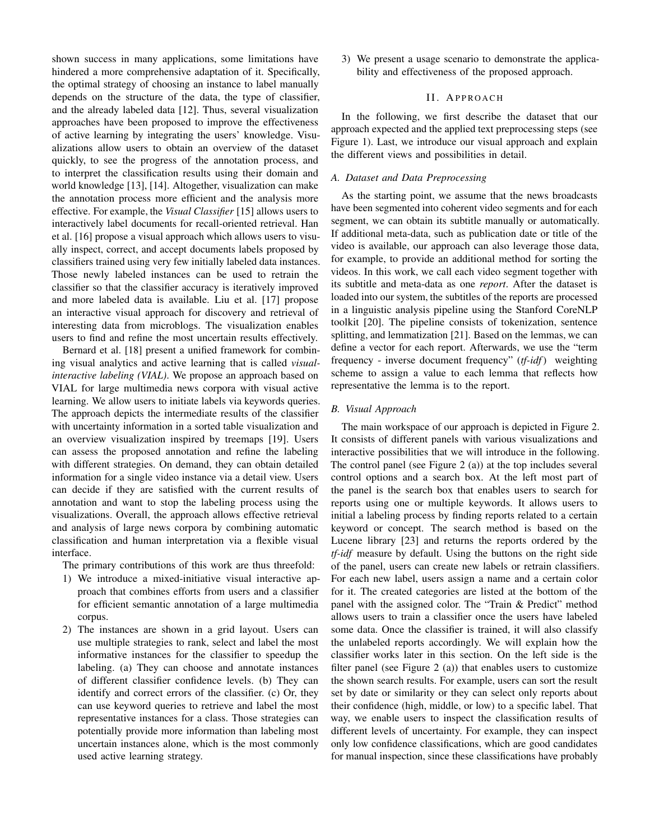shown success in many applications, some limitations have hindered a more comprehensive adaptation of it. Specifically, the optimal strategy of choosing an instance to label manually depends on the structure of the data, the type of classifier, and the already labeled data [12]. Thus, several visualization approaches have been proposed to improve the effectiveness of active learning by integrating the users' knowledge. Visualizations allow users to obtain an overview of the dataset quickly, to see the progress of the annotation process, and to interpret the classification results using their domain and world knowledge [13], [14]. Altogether, visualization can make the annotation process more efficient and the analysis more effective. For example, the *Visual Classifier* [15] allows users to interactively label documents for recall-oriented retrieval. Han et al. [16] propose a visual approach which allows users to visually inspect, correct, and accept documents labels proposed by classifiers trained using very few initially labeled data instances. Those newly labeled instances can be used to retrain the classifier so that the classifier accuracy is iteratively improved and more labeled data is available. Liu et al. [17] propose an interactive visual approach for discovery and retrieval of interesting data from microblogs. The visualization enables users to find and refine the most uncertain results effectively.

Bernard et al. [18] present a unified framework for combining visual analytics and active learning that is called *visualinteractive labeling (VIAL)*. We propose an approach based on VIAL for large multimedia news corpora with visual active learning. We allow users to initiate labels via keywords queries. The approach depicts the intermediate results of the classifier with uncertainty information in a sorted table visualization and an overview visualization inspired by treemaps [19]. Users can assess the proposed annotation and refine the labeling with different strategies. On demand, they can obtain detailed information for a single video instance via a detail view. Users can decide if they are satisfied with the current results of annotation and want to stop the labeling process using the visualizations. Overall, the approach allows effective retrieval and analysis of large news corpora by combining automatic classification and human interpretation via a flexible visual interface.

The primary contributions of this work are thus threefold:

- 1) We introduce a mixed-initiative visual interactive approach that combines efforts from users and a classifier for efficient semantic annotation of a large multimedia corpus.
- 2) The instances are shown in a grid layout. Users can use multiple strategies to rank, select and label the most informative instances for the classifier to speedup the labeling. (a) They can choose and annotate instances of different classifier confidence levels. (b) They can identify and correct errors of the classifier. (c) Or, they can use keyword queries to retrieve and label the most representative instances for a class. Those strategies can potentially provide more information than labeling most uncertain instances alone, which is the most commonly used active learning strategy.

3) We present a usage scenario to demonstrate the applicability and effectiveness of the proposed approach.

## II. APPROACH

In the following, we first describe the dataset that our approach expected and the applied text preprocessing steps (see Figure 1). Last, we introduce our visual approach and explain the different views and possibilities in detail.

#### *A. Dataset and Data Preprocessing*

As the starting point, we assume that the news broadcasts have been segmented into coherent video segments and for each segment, we can obtain its subtitle manually or automatically. If additional meta-data, such as publication date or title of the video is available, our approach can also leverage those data, for example, to provide an additional method for sorting the videos. In this work, we call each video segment together with its subtitle and meta-data as one *report*. After the dataset is loaded into our system, the subtitles of the reports are processed in a linguistic analysis pipeline using the Stanford CoreNLP toolkit [20]. The pipeline consists of tokenization, sentence splitting, and lemmatization [21]. Based on the lemmas, we can define a vector for each report. Afterwards, we use the "term frequency - inverse document frequency" (*tf-idf*) weighting scheme to assign a value to each lemma that reflects how representative the lemma is to the report.

## *B. Visual Approach*

The main workspace of our approach is depicted in Figure 2. It consists of different panels with various visualizations and interactive possibilities that we will introduce in the following. The control panel (see Figure 2 (a)) at the top includes several control options and a search box. At the left most part of the panel is the search box that enables users to search for reports using one or multiple keywords. It allows users to initial a labeling process by finding reports related to a certain keyword or concept. The search method is based on the Lucene library [23] and returns the reports ordered by the *tf-idf* measure by default. Using the buttons on the right side of the panel, users can create new labels or retrain classifiers. For each new label, users assign a name and a certain color for it. The created categories are listed at the bottom of the panel with the assigned color. The "Train & Predict" method allows users to train a classifier once the users have labeled some data. Once the classifier is trained, it will also classify the unlabeled reports accordingly. We will explain how the classifier works later in this section. On the left side is the filter panel (see Figure 2 (a)) that enables users to customize the shown search results. For example, users can sort the result set by date or similarity or they can select only reports about their confidence (high, middle, or low) to a specific label. That way, we enable users to inspect the classification results of different levels of uncertainty. For example, they can inspect only low confidence classifications, which are good candidates for manual inspection, since these classifications have probably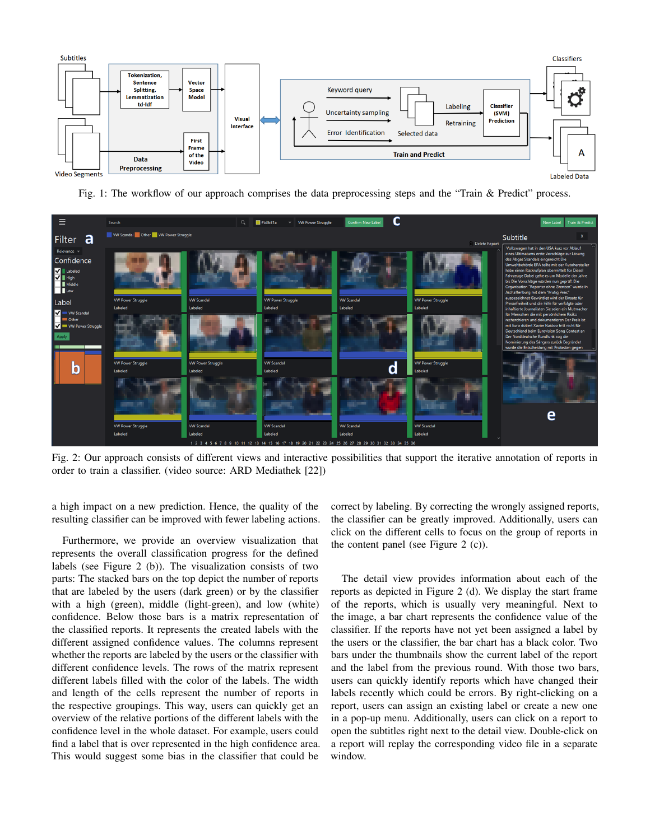

Fig. 1: The workflow of our approach comprises the data preprocessing steps and the "Train & Predict" process.



Fig. 2: Our approach consists of different views and interactive possibilities that support the iterative annotation of reports in order to train a classifier. (video source: ARD Mediathek [22])

a high impact on a new prediction. Hence, the quality of the resulting classifier can be improved with fewer labeling actions.

Furthermore, we provide an overview visualization that represents the overall classification progress for the defined labels (see Figure 2 (b)). The visualization consists of two parts: The stacked bars on the top depict the number of reports that are labeled by the users (dark green) or by the classifier with a high (green), middle (light-green), and low (white) confidence. Below those bars is a matrix representation of the classified reports. It represents the created labels with the different assigned confidence values. The columns represent whether the reports are labeled by the users or the classifier with different confidence levels. The rows of the matrix represent different labels filled with the color of the labels. The width and length of the cells represent the number of reports in the respective groupings. This way, users can quickly get an overview of the relative portions of the different labels with the confidence level in the whole dataset. For example, users could find a label that is over represented in the high confidence area. This would suggest some bias in the classifier that could be

correct by labeling. By correcting the wrongly assigned reports, the classifier can be greatly improved. Additionally, users can click on the different cells to focus on the group of reports in the content panel (see Figure 2 (c)).

The detail view provides information about each of the reports as depicted in Figure 2 (d). We display the start frame of the reports, which is usually very meaningful. Next to the image, a bar chart represents the confidence value of the classifier. If the reports have not yet been assigned a label by the users or the classifier, the bar chart has a black color. Two bars under the thumbnails show the current label of the report and the label from the previous round. With those two bars, users can quickly identify reports which have changed their labels recently which could be errors. By right-clicking on a report, users can assign an existing label or create a new one in a pop-up menu. Additionally, users can click on a report to open the subtitles right next to the detail view. Double-click on a report will replay the corresponding video file in a separate window.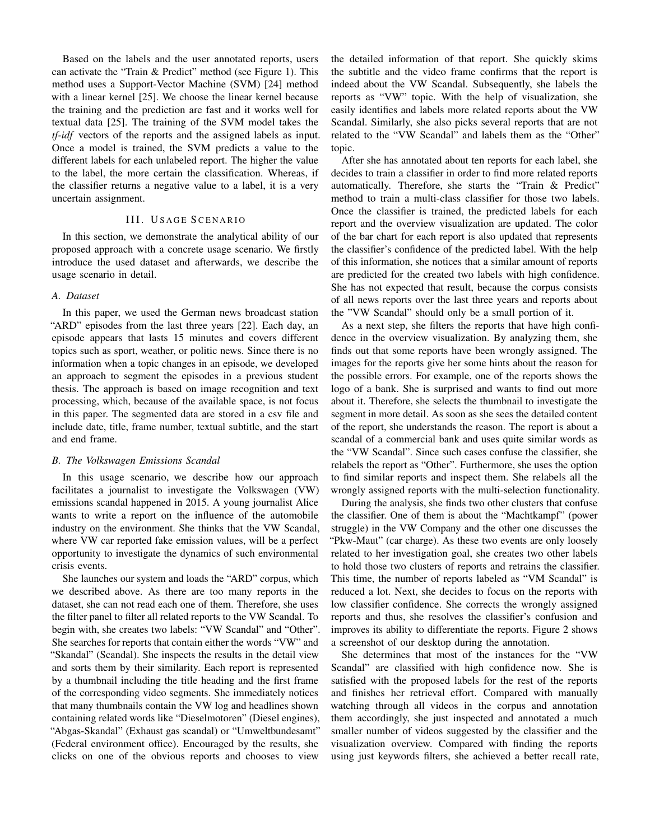Based on the labels and the user annotated reports, users can activate the "Train & Predict" method (see Figure 1). This method uses a Support-Vector Machine (SVM) [24] method with a linear kernel [25]. We choose the linear kernel because the training and the prediction are fast and it works well for textual data [25]. The training of the SVM model takes the *tf-idf* vectors of the reports and the assigned labels as input. Once a model is trained, the SVM predicts a value to the different labels for each unlabeled report. The higher the value to the label, the more certain the classification. Whereas, if the classifier returns a negative value to a label, it is a very uncertain assignment.

## III. USAGE SCENARIO

In this section, we demonstrate the analytical ability of our proposed approach with a concrete usage scenario. We firstly introduce the used dataset and afterwards, we describe the usage scenario in detail.

### *A. Dataset*

In this paper, we used the German news broadcast station "ARD" episodes from the last three years [22]. Each day, an episode appears that lasts 15 minutes and covers different topics such as sport, weather, or politic news. Since there is no information when a topic changes in an episode, we developed an approach to segment the episodes in a previous student thesis. The approach is based on image recognition and text processing, which, because of the available space, is not focus in this paper. The segmented data are stored in a csv file and include date, title, frame number, textual subtitle, and the start and end frame.

### *B. The Volkswagen Emissions Scandal*

In this usage scenario, we describe how our approach facilitates a journalist to investigate the Volkswagen (VW) emissions scandal happened in 2015. A young journalist Alice wants to write a report on the influence of the automobile industry on the environment. She thinks that the VW Scandal, where VW car reported fake emission values, will be a perfect opportunity to investigate the dynamics of such environmental crisis events.

She launches our system and loads the "ARD" corpus, which we described above. As there are too many reports in the dataset, she can not read each one of them. Therefore, she uses the filter panel to filter all related reports to the VW Scandal. To begin with, she creates two labels: "VW Scandal" and "Other". She searches for reports that contain either the words "VW" and "Skandal" (Scandal). She inspects the results in the detail view and sorts them by their similarity. Each report is represented by a thumbnail including the title heading and the first frame of the corresponding video segments. She immediately notices that many thumbnails contain the VW log and headlines shown containing related words like "Dieselmotoren" (Diesel engines), "Abgas-Skandal" (Exhaust gas scandal) or "Umweltbundesamt" (Federal environment office). Encouraged by the results, she clicks on one of the obvious reports and chooses to view

the detailed information of that report. She quickly skims the subtitle and the video frame confirms that the report is indeed about the VW Scandal. Subsequently, she labels the reports as "VW" topic. With the help of visualization, she easily identifies and labels more related reports about the VW Scandal. Similarly, she also picks several reports that are not related to the "VW Scandal" and labels them as the "Other" topic.

After she has annotated about ten reports for each label, she decides to train a classifier in order to find more related reports automatically. Therefore, she starts the "Train & Predict" method to train a multi-class classifier for those two labels. Once the classifier is trained, the predicted labels for each report and the overview visualization are updated. The color of the bar chart for each report is also updated that represents the classifier's confidence of the predicted label. With the help of this information, she notices that a similar amount of reports are predicted for the created two labels with high confidence. She has not expected that result, because the corpus consists of all news reports over the last three years and reports about the "VW Scandal" should only be a small portion of it.

As a next step, she filters the reports that have high confidence in the overview visualization. By analyzing them, she finds out that some reports have been wrongly assigned. The images for the reports give her some hints about the reason for the possible errors. For example, one of the reports shows the logo of a bank. She is surprised and wants to find out more about it. Therefore, she selects the thumbnail to investigate the segment in more detail. As soon as she sees the detailed content of the report, she understands the reason. The report is about a scandal of a commercial bank and uses quite similar words as the "VW Scandal". Since such cases confuse the classifier, she relabels the report as "Other". Furthermore, she uses the option to find similar reports and inspect them. She relabels all the wrongly assigned reports with the multi-selection functionality.

During the analysis, she finds two other clusters that confuse the classifier. One of them is about the "Machtkampf" (power struggle) in the VW Company and the other one discusses the "Pkw-Maut" (car charge). As these two events are only loosely related to her investigation goal, she creates two other labels to hold those two clusters of reports and retrains the classifier. This time, the number of reports labeled as "VM Scandal" is reduced a lot. Next, she decides to focus on the reports with low classifier confidence. She corrects the wrongly assigned reports and thus, she resolves the classifier's confusion and improves its ability to differentiate the reports. Figure 2 shows a screenshot of our desktop during the annotation.

She determines that most of the instances for the "VW Scandal" are classified with high confidence now. She is satisfied with the proposed labels for the rest of the reports and finishes her retrieval effort. Compared with manually watching through all videos in the corpus and annotation them accordingly, she just inspected and annotated a much smaller number of videos suggested by the classifier and the visualization overview. Compared with finding the reports using just keywords filters, she achieved a better recall rate,